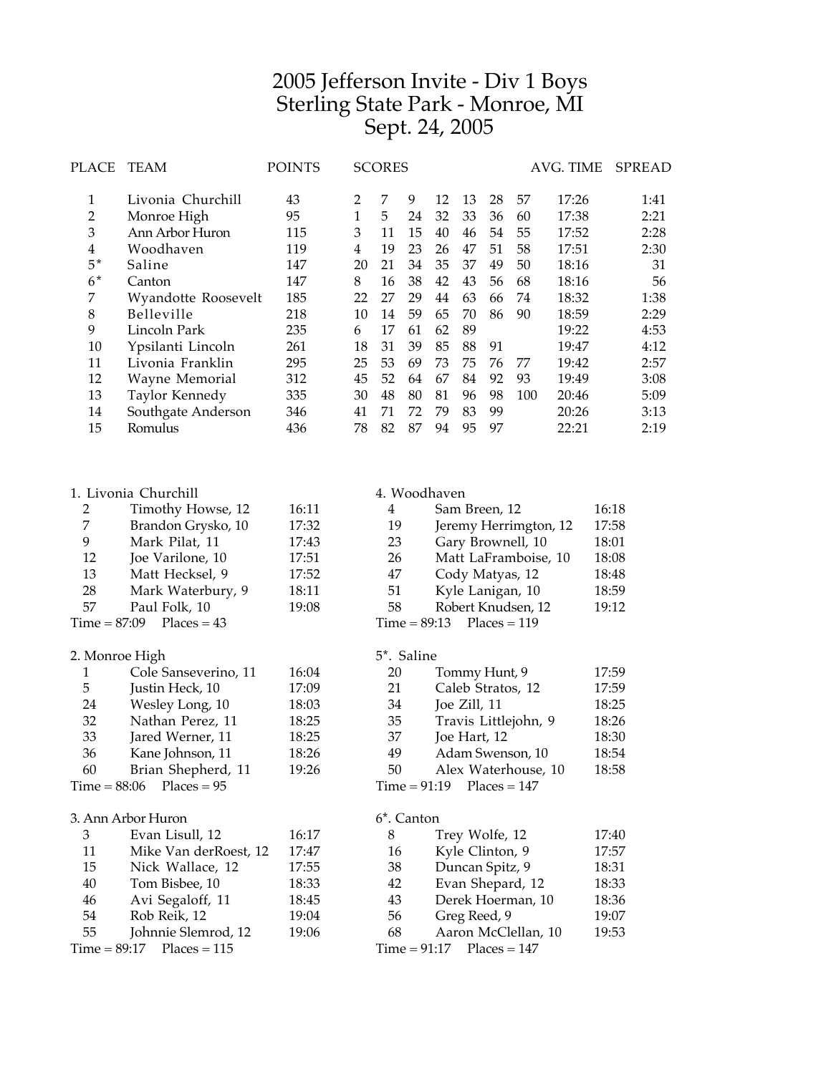# Jefferson Invite - Div 1 Boys Sterling State Park - Monroe, MI Sept. 24, 2005

| PLACE          | <b>SCORES</b><br>TEAM<br>POINTS |     | AVG. TIME |    | <b>SPREAD</b> |    |    |    |     |       |      |
|----------------|---------------------------------|-----|-----------|----|---------------|----|----|----|-----|-------|------|
| 1              | Livonia Churchill               | 43  | 2         | 7  | 9             | 12 | 13 | 28 | 57  | 17:26 | 1:41 |
| 2              | Monroe High                     | 95  | 1         | 5. | 24            | 32 | 33 | 36 | 60  | 17:38 | 2:21 |
| 3              | Ann Arbor Huron                 | 115 | 3         | 11 | 15            | 40 | 46 | 54 | 55  | 17:52 | 2:28 |
| $\overline{4}$ | Woodhaven                       | 119 | 4         | 19 | 23            | 26 | 47 | 51 | 58  | 17:51 | 2:30 |
| $5*$           | Saline                          | 147 | 20        | 21 | 34            | 35 | 37 | 49 | 50  | 18:16 | 31   |
| $6*$           | Canton                          | 147 | 8         | 16 | 38            | 42 | 43 | 56 | 68  | 18:16 | 56   |
| 7              | Wyandotte Roosevelt             | 185 | 22        | 27 | 29            | 44 | 63 | 66 | 74  | 18:32 | 1:38 |
| 8              | <b>Belleville</b>               | 218 | 10        | 14 | 59            | 65 | 70 | 86 | 90  | 18:59 | 2:29 |
| 9              | Lincoln Park                    | 235 | 6         | 17 | 61            | 62 | 89 |    |     | 19:22 | 4:53 |
| 10             | Ypsilanti Lincoln               | 261 | 18        | 31 | 39            | 85 | 88 | 91 |     | 19:47 | 4:12 |
| 11             | Livonia Franklin                | 295 | 25        | 53 | 69            | 73 | 75 | 76 | 77  | 19:42 | 2:57 |
| 12             | Wayne Memorial                  | 312 | 45        | 52 | 64            | 67 | 84 | 92 | 93  | 19:49 | 3:08 |
| 13             | Taylor Kennedy                  | 335 | 30        | 48 | 80            | 81 | 96 | 98 | 100 | 20:46 | 5:09 |
| 14             | Southgate Anderson              | 346 | 41        | 71 | 72            | 79 | 83 | 99 |     | 20:26 | 3:13 |
| 15             | Romulus                         | 436 | 78        | 82 | 87            | 94 | 95 | 97 |     | 22:21 | 2:19 |
|                |                                 |     |           |    |               |    |    |    |     |       |      |

|    | 1. Livonia Churchill |       |
|----|----------------------|-------|
| 2  | Timothy Howse, 12    | 16:11 |
| 7  | Brandon Grysko, 10   | 17:32 |
| 9  | Mark Pilat, 11       | 17:43 |
| 12 | Joe Varilone, 10     | 17:51 |
| 13 | Matt Hecksel, 9      | 17:52 |
| 28 | Mark Waterbury, 9    | 18:11 |
| 57 | Paul Folk, 10        | 19:08 |
|    | $\mathbf{m1}$        |       |

 $Time = 87:09$  Places = 43

#### 2. Monroe High

| 1  | Cole Sanseverino, 11         | 16:04 |
|----|------------------------------|-------|
| 5  | Justin Heck, 10              | 17:09 |
| 24 | Wesley Long, 10              | 18:03 |
| 32 | Nathan Perez, 11             | 18:25 |
| 33 | Jared Werner, 11             | 18:25 |
| 36 | Kane Johnson, 11             | 18:26 |
| 60 | Brian Shepherd, 11           | 19:26 |
|    | Time = $88:06$ Places = $95$ |       |
|    |                              |       |

### 3. Ann Arbor Huron

| Mike Van derRoest, 12<br>11<br>Nick Wallace, 12<br>15<br>Tom Bisbee, 10<br>40<br>Avi Segaloff, 11<br>46<br>Rob Reik, 12<br>54<br>Johnnie Slemrod, 12<br>55<br>$Time = 89:17$ Places = 115 | 3 | Evan Lisull, 12 | 16:17 |
|-------------------------------------------------------------------------------------------------------------------------------------------------------------------------------------------|---|-----------------|-------|
|                                                                                                                                                                                           |   |                 | 17:47 |
|                                                                                                                                                                                           |   |                 | 17:55 |
|                                                                                                                                                                                           |   |                 | 18:33 |
|                                                                                                                                                                                           |   |                 | 18:45 |
|                                                                                                                                                                                           |   |                 | 19:04 |
|                                                                                                                                                                                           |   |                 | 19:06 |
|                                                                                                                                                                                           |   |                 |       |

## 4. Woodhaven

| 4  | Sam Breen, 12               | 16:18 |
|----|-----------------------------|-------|
| 19 | Jeremy Herrimgton, 12       | 17:58 |
| 23 | Gary Brownell, 10           | 18:01 |
| 26 | Matt LaFramboise, 10        | 18:08 |
| 47 | Cody Matyas, 12             | 18:48 |
| 51 | Kyle Lanigan, 10            | 18:59 |
| 58 | Robert Knudsen, 12          | 19:12 |
|    | $Time = 89:13$ Places = 119 |       |

#### 5\*. Saline Tommy Hunt, 9 17:59

| ∠∪ |                             | $\frac{1}{2}$ |
|----|-----------------------------|---------------|
| 21 | Caleb Stratos, 12           | 17:59         |
| 34 | Joe Zill, 11                | 18:25         |
| 35 | Travis Littlejohn, 9        | 18:26         |
| 37 | Joe Hart, 12                | 18:30         |
| 49 | Adam Swenson, 10            | 18:54         |
| 50 | Alex Waterhouse, 10         | 18:58         |
|    | $Time = 91:19$ Places = 147 |               |

## 6\*. Canton

| 8  | Trey Wolfe, 12              | 17:40 |
|----|-----------------------------|-------|
| 16 | Kyle Clinton, 9             | 17:57 |
| 38 | Duncan Spitz, 9             | 18:31 |
| 42 | Evan Shepard, 12            | 18:33 |
| 43 | Derek Hoerman, 10           | 18:36 |
| 56 | Greg Reed, 9                | 19:07 |
| 68 | Aaron McClellan, 10         | 19:53 |
|    | $Time = 91:17$ Places = 147 |       |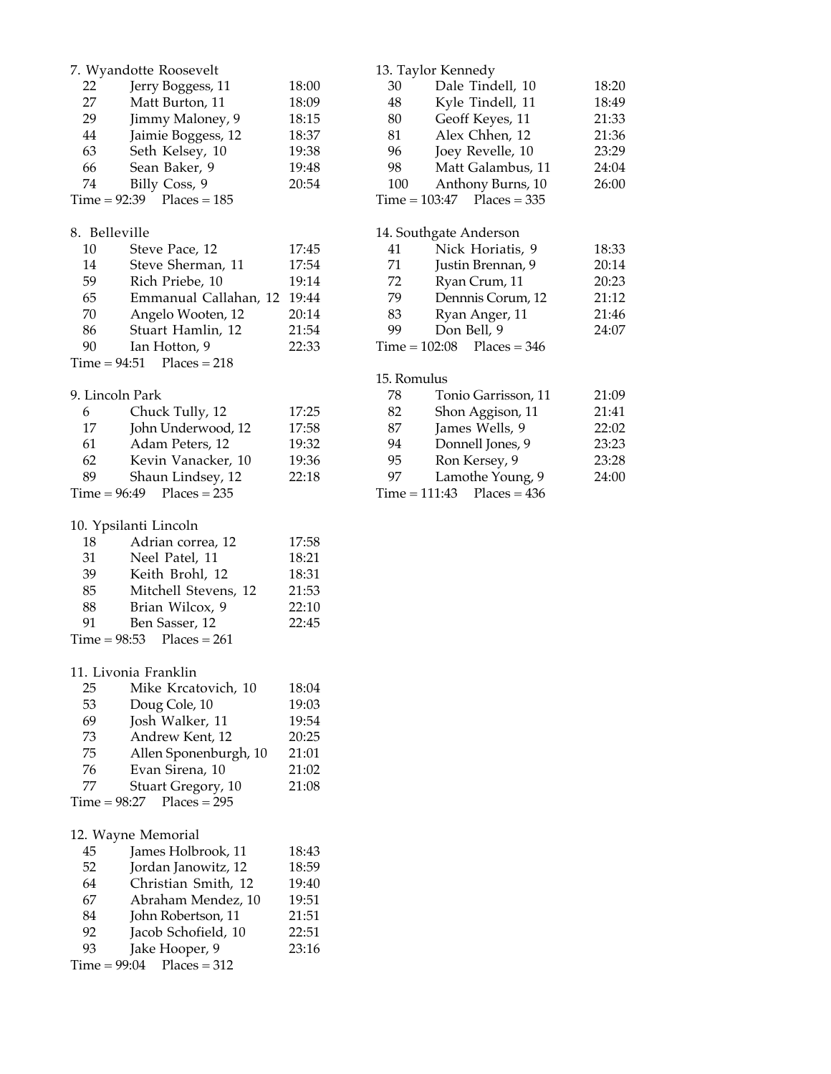|                 | 7. Wyandotte Roosevelt        |       |                 | 13. Taylor Kennedy           |
|-----------------|-------------------------------|-------|-----------------|------------------------------|
| 22              | Jerry Boggess, 11             | 18:00 | 30              | Dale Tindell, 10             |
| 27              | Matt Burton, 11               | 18:09 | 48              | Kyle Tindell, 11             |
| 29              | Jimmy Maloney, 9              | 18:15 | 80              | Geoff Keyes, 11              |
| 44              | Jaimie Boggess, 12            | 18:37 | 81              | Alex Chhen, 12               |
| 63              | Seth Kelsey, 10               | 19:38 | 96              | Joey Revelle, 10             |
| 66              | Sean Baker, 9                 | 19:48 | 98              | Matt Galambus, 11            |
| 74              |                               | 20:54 | 100             |                              |
|                 | Billy Coss, 9                 |       |                 | Anthony Burns, 10            |
|                 | $Time = 92:39$ Places = 185   |       |                 | $Time = 103:47$ Places = 335 |
| 8. Belleville   |                               |       |                 | 14. Southgate Anderson       |
| 10              | Steve Pace, 12                | 17:45 | 41              | Nick Horiatis, 9             |
| 14              | Steve Sherman, 11             | 17:54 | 71              | Justin Brennan, 9            |
|                 |                               |       | 72              |                              |
| 59              | Rich Priebe, 10               | 19:14 |                 | Ryan Crum, 11                |
| 65              | Emmanual Callahan, 12         | 19:44 | 79              | Dennnis Corum, 12            |
| 70              | Angelo Wooten, 12             | 20:14 | 83              | Ryan Anger, 11               |
| 86              | Stuart Hamlin, 12             | 21:54 | 99              | Don Bell, 9                  |
| 90              | Ian Hotton, 9                 | 22:33 | $Time = 102:08$ | $Places = 346$               |
|                 | $Time = 94:51$ Places = 218   |       |                 |                              |
|                 |                               |       | 15. Romulus     |                              |
| 9. Lincoln Park |                               |       | 78              | Tonio Garrisson, 11          |
| 6               | Chuck Tully, 12               | 17:25 | 82              | Shon Aggison, 11             |
| 17              | John Underwood, 12            | 17:58 | 87              | James Wells, 9               |
| 61              | Adam Peters, 12               | 19:32 | 94              | Donnell Jones, 9             |
| 62              | Kevin Vanacker, 10            | 19:36 | 95              | Ron Kersey, 9                |
| 89              | Shaun Lindsey, 12             | 22:18 | 97              | Lamothe Young, 9             |
| $Time = 96:49$  | $Places = 235$                |       |                 | $Time = 111:43$ Places = 436 |
|                 |                               |       |                 |                              |
|                 | 10. Ypsilanti Lincoln         |       |                 |                              |
| 18              | Adrian correa, 12             | 17:58 |                 |                              |
| 31              | Neel Patel, 11                | 18:21 |                 |                              |
| 39              | Keith Brohl, 12               | 18:31 |                 |                              |
| 85              | Mitchell Stevens, 12          | 21:53 |                 |                              |
| 88              | Brian Wilcox, 9               | 22:10 |                 |                              |
| 91              | Ben Sasser, 12                | 22:45 |                 |                              |
|                 | Time = $98:53$ Places = $261$ |       |                 |                              |
|                 |                               |       |                 |                              |
|                 | 11. Livonia Franklin          |       |                 |                              |
| 25              | Mike Krcatovich, 10           | 18:04 |                 |                              |
| 53              | Doug Cole, 10                 | 19:03 |                 |                              |
| 69              | Josh Walker, 11               | 19:54 |                 |                              |
| 73              | Andrew Kent, 12               | 20:25 |                 |                              |
| 75              |                               | 21:01 |                 |                              |
|                 | Allen Sponenburgh, 10         |       |                 |                              |
| 76              | Evan Sirena, 10               | 21:02 |                 |                              |
| 77              | <b>Stuart Gregory, 10</b>     | 21:08 |                 |                              |
| $Time = 98:27$  | $Places = 295$                |       |                 |                              |
|                 | 12. Wayne Memorial            |       |                 |                              |
|                 |                               |       |                 |                              |
| 45              | James Holbrook, 11            | 18:43 |                 |                              |
| 52              | Jordan Janowitz, 12           | 18:59 |                 |                              |
| 64              | Christian Smith, 12           | 19:40 |                 |                              |
| 67              | Abraham Mendez, 10            | 19:51 |                 |                              |
| 84              | John Robertson, 11            | 21:51 |                 |                              |
| 92              | Jacob Schofield, 10           | 22:51 |                 |                              |
| 93              | Jake Hooper, 9                | 23:16 |                 |                              |
| $Time = 99:04$  | $Places = 312$                |       |                 |                              |

18:20 18:49 81:33 21:36 23:29  $24:04$  $26:00$ 

18:33  $20:14$ 20:23  $21:12$ 21:46 24:07

21:09 21:41  $22:02$ 23:23 23:28  $24:00$